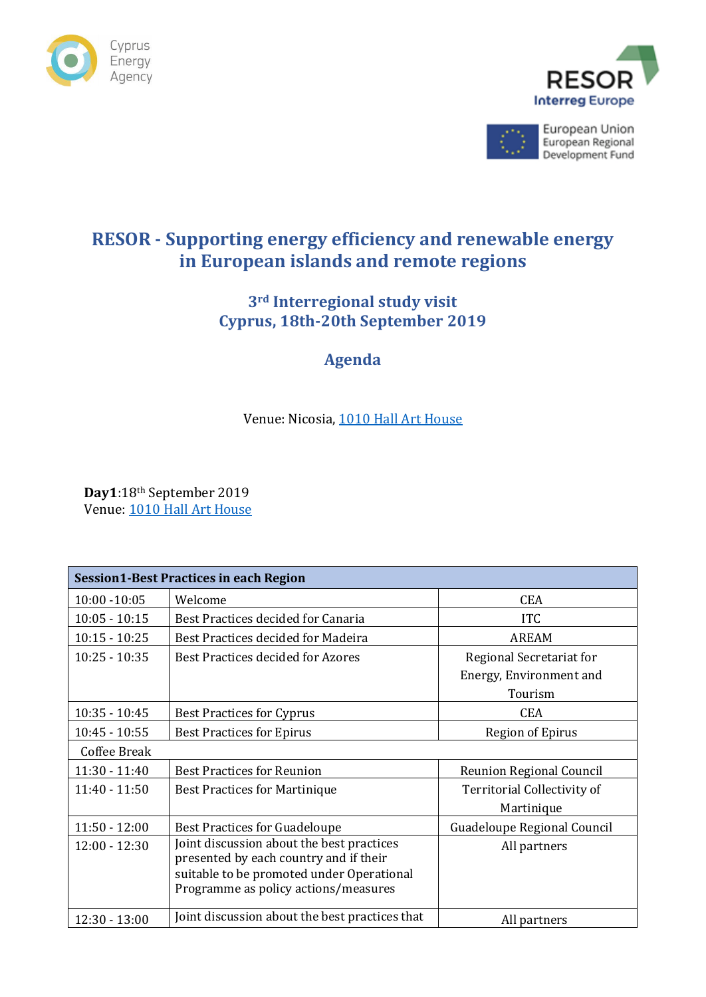





European Union European Regional Development Fund

# **RESOR - Supporting energy efficiency and renewable energy in European islands and remote regions**

### **3rd Interregional study visit Cyprus, 18th-20th September 2019**

## **Agenda**

#### Venue: Nicosia, [1010 Hall](http://www.1010hall.com/) Art House

**Day1**:18th September 2019 Venue: [1010 Hall Art House](http://www.1010hall.com/)

| <b>Session1-Best Practices in each Region</b> |                                                                                                                                                                          |                                 |  |  |
|-----------------------------------------------|--------------------------------------------------------------------------------------------------------------------------------------------------------------------------|---------------------------------|--|--|
| $10:00 - 10:05$                               | Welcome                                                                                                                                                                  | <b>CEA</b>                      |  |  |
| $10:05 - 10:15$                               | Best Practices decided for Canaria                                                                                                                                       | <b>ITC</b>                      |  |  |
| $10:15 - 10:25$                               | Best Practices decided for Madeira                                                                                                                                       | <b>AREAM</b>                    |  |  |
| $10:25 - 10:35$                               | Best Practices decided for Azores                                                                                                                                        | Regional Secretariat for        |  |  |
|                                               |                                                                                                                                                                          | Energy, Environment and         |  |  |
|                                               |                                                                                                                                                                          | Tourism                         |  |  |
| $10:35 - 10:45$                               | <b>Best Practices for Cyprus</b>                                                                                                                                         | <b>CEA</b>                      |  |  |
| $10:45 - 10:55$                               | <b>Best Practices for Epirus</b>                                                                                                                                         | <b>Region of Epirus</b>         |  |  |
| Coffee Break                                  |                                                                                                                                                                          |                                 |  |  |
| $11:30 - 11:40$                               | <b>Best Practices for Reunion</b>                                                                                                                                        | <b>Reunion Regional Council</b> |  |  |
| $11:40 - 11:50$                               | <b>Best Practices for Martinique</b>                                                                                                                                     | Territorial Collectivity of     |  |  |
|                                               |                                                                                                                                                                          | Martinique                      |  |  |
| $11:50 - 12:00$                               | <b>Best Practices for Guadeloupe</b>                                                                                                                                     | Guadeloupe Regional Council     |  |  |
| $12:00 - 12:30$                               | Joint discussion about the best practices<br>presented by each country and if their<br>suitable to be promoted under Operational<br>Programme as policy actions/measures | All partners                    |  |  |
| $12:30 - 13:00$                               | Joint discussion about the best practices that                                                                                                                           | All partners                    |  |  |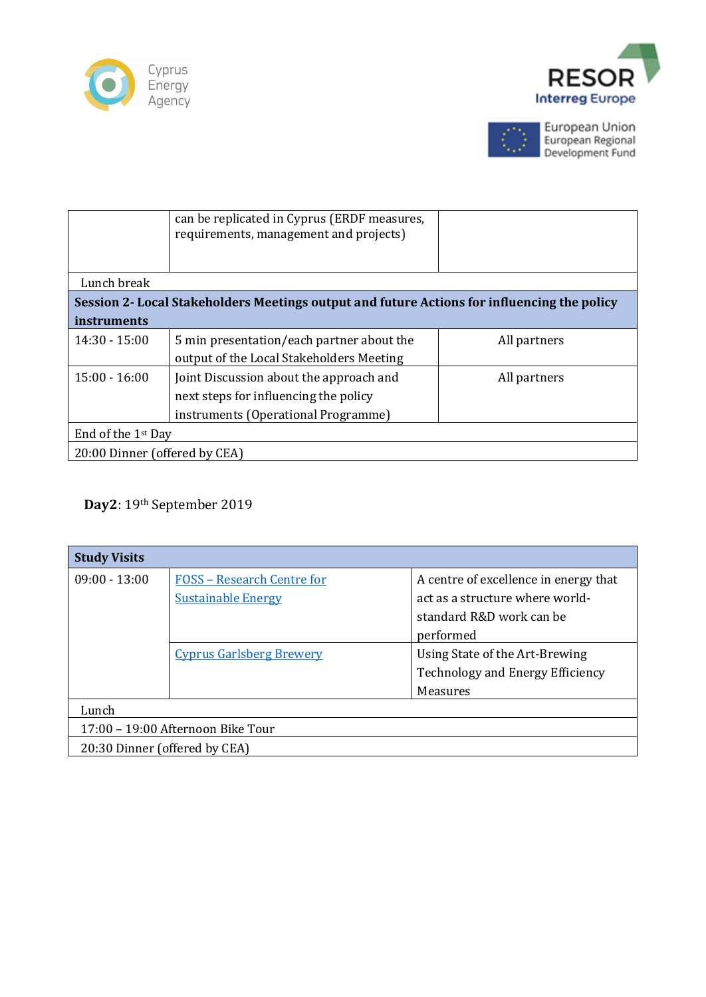





European Union<br>European Regional<br>Development Fund

|                                                                                             | can be replicated in Cyprus (ERDF measures,<br>requirements, management and projects) |              |  |  |  |
|---------------------------------------------------------------------------------------------|---------------------------------------------------------------------------------------|--------------|--|--|--|
| Lunch break                                                                                 |                                                                                       |              |  |  |  |
| Session 2- Local Stakeholders Meetings output and future Actions for influencing the policy |                                                                                       |              |  |  |  |
| instruments                                                                                 |                                                                                       |              |  |  |  |
| $14:30 - 15:00$                                                                             | 5 min presentation/each partner about the                                             | All partners |  |  |  |
|                                                                                             | output of the Local Stakeholders Meeting                                              |              |  |  |  |
| $15:00 - 16:00$                                                                             | Joint Discussion about the approach and                                               | All partners |  |  |  |
|                                                                                             | next steps for influencing the policy                                                 |              |  |  |  |
|                                                                                             | instruments (Operational Programme)                                                   |              |  |  |  |
| End of the 1 <sup>st</sup> Day                                                              |                                                                                       |              |  |  |  |
| 20:00 Dinner (offered by CEA)                                                               |                                                                                       |              |  |  |  |

#### **Day2**: 19th September 2019

| <b>Study Visits</b>               |                                   |                                       |  |  |
|-----------------------------------|-----------------------------------|---------------------------------------|--|--|
| $09:00 - 13:00$                   | <b>FOSS - Research Centre for</b> | A centre of excellence in energy that |  |  |
|                                   | <b>Sustainable Energy</b>         | act as a structure where world-       |  |  |
|                                   |                                   | standard R&D work can be              |  |  |
|                                   |                                   | performed                             |  |  |
|                                   | <b>Cyprus Garlsberg Brewery</b>   | Using State of the Art-Brewing        |  |  |
|                                   |                                   | Technology and Energy Efficiency      |  |  |
|                                   |                                   | Measures                              |  |  |
| Lunch                             |                                   |                                       |  |  |
| 17:00 - 19:00 Afternoon Bike Tour |                                   |                                       |  |  |
| 20:30 Dinner (offered by CEA)     |                                   |                                       |  |  |